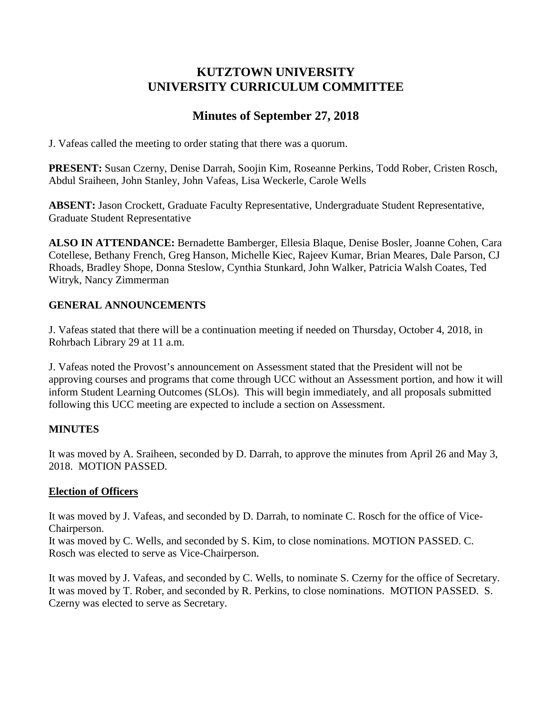# **KUTZTOWN UNIVERSITY UNIVERSITY CURRICULUM COMMITTEE**

# **Minutes of September 27, 2018**

J. Vafeas called the meeting to order stating that there was a quorum.

**PRESENT:** Susan Czerny, Denise Darrah, Soojin Kim, Roseanne Perkins, Todd Rober, Cristen Rosch, Abdul Sraiheen, John Stanley, John Vafeas, Lisa Weckerle, Carole Wells

**ABSENT:** Jason Crockett, Graduate Faculty Representative, Undergraduate Student Representative, Graduate Student Representative

**ALSO IN ATTENDANCE:** Bernadette Bamberger, Ellesia Blaque, Denise Bosler, Joanne Cohen, Cara Cotellese, Bethany French, Greg Hanson, Michelle Kiec, Rajeev Kumar, Brian Meares, Dale Parson, CJ Rhoads, Bradley Shope, Donna Steslow, Cynthia Stunkard, John Walker, Patricia Walsh Coates, Ted Witryk, Nancy Zimmerman

# **GENERAL ANNOUNCEMENTS**

J. Vafeas stated that there will be a continuation meeting if needed on Thursday, October 4, 2018, in Rohrbach Library 29 at 11 a.m.

J. Vafeas noted the Provost's announcement on Assessment stated that the President will not be approving courses and programs that come through UCC without an Assessment portion, and how it will inform Student Learning Outcomes (SLOs). This will begin immediately, and all proposals submitted following this UCC meeting are expected to include a section on Assessment.

# **MINUTES**

It was moved by A. Sraiheen, seconded by D. Darrah, to approve the minutes from April 26 and May 3, 2018. MOTION PASSED.

# **Election of Officers**

It was moved by J. Vafeas, and seconded by D. Darrah, to nominate C. Rosch for the office of Vice-Chairperson.

It was moved by C. Wells, and seconded by S. Kim, to close nominations. MOTION PASSED. C. Rosch was elected to serve as Vice-Chairperson.

It was moved by J. Vafeas, and seconded by C. Wells, to nominate S. Czerny for the office of Secretary. It was moved by T. Rober, and seconded by R. Perkins, to close nominations. MOTION PASSED. S. Czerny was elected to serve as Secretary.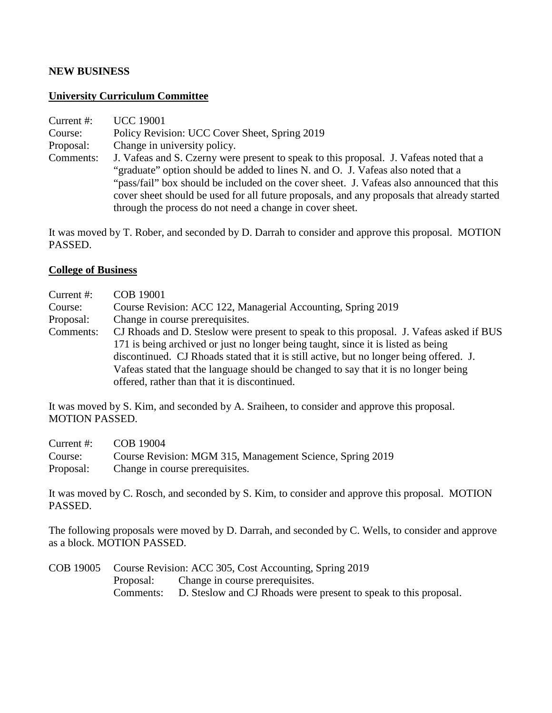### **NEW BUSINESS**

### **University Curriculum Committee**

| Current $#$ : | <b>UCC 19001</b>                                                                            |
|---------------|---------------------------------------------------------------------------------------------|
| Course:       | Policy Revision: UCC Cover Sheet, Spring 2019                                               |
| Proposal:     | Change in university policy.                                                                |
| Comments:     | J. Vafeas and S. Czerny were present to speak to this proposal. J. Vafeas noted that a      |
|               | "graduate" option should be added to lines N. and O. J. Vafeas also noted that a            |
|               | "pass/fail" box should be included on the cover sheet. J. Vafeas also announced that this   |
|               | cover sheet should be used for all future proposals, and any proposals that already started |
|               | through the process do not need a change in cover sheet.                                    |

It was moved by T. Rober, and seconded by D. Darrah to consider and approve this proposal. MOTION PASSED.

## **College of Business**

| Current #: | COB 19001                                                                               |
|------------|-----------------------------------------------------------------------------------------|
| Course:    | Course Revision: ACC 122, Managerial Accounting, Spring 2019                            |
| Proposal:  | Change in course prerequisites.                                                         |
| Comments:  | CJ Rhoads and D. Steslow were present to speak to this proposal. J. Vafeas asked if BUS |
|            | 171 is being archived or just no longer being taught, since it is listed as being       |
|            | discontinued. CJ Rhoads stated that it is still active, but no longer being offered. J. |
|            | Vafeas stated that the language should be changed to say that it is no longer being     |
|            | offered, rather than that it is discontinued.                                           |
|            |                                                                                         |

It was moved by S. Kim, and seconded by A. Sraiheen, to consider and approve this proposal. MOTION PASSED.

| Current $#$ : | COB 19004                                                 |
|---------------|-----------------------------------------------------------|
| Course:       | Course Revision: MGM 315, Management Science, Spring 2019 |
| Proposal:     | Change in course prerequisites.                           |

It was moved by C. Rosch, and seconded by S. Kim, to consider and approve this proposal. MOTION PASSED.

The following proposals were moved by D. Darrah, and seconded by C. Wells, to consider and approve as a block. MOTION PASSED.

|           | COB 19005 Course Revision: ACC 305, Cost Accounting, Spring 2019           |
|-----------|----------------------------------------------------------------------------|
| Proposal: | Change in course prerequisites.                                            |
|           | Comments: D. Steslow and CJ Rhoads were present to speak to this proposal. |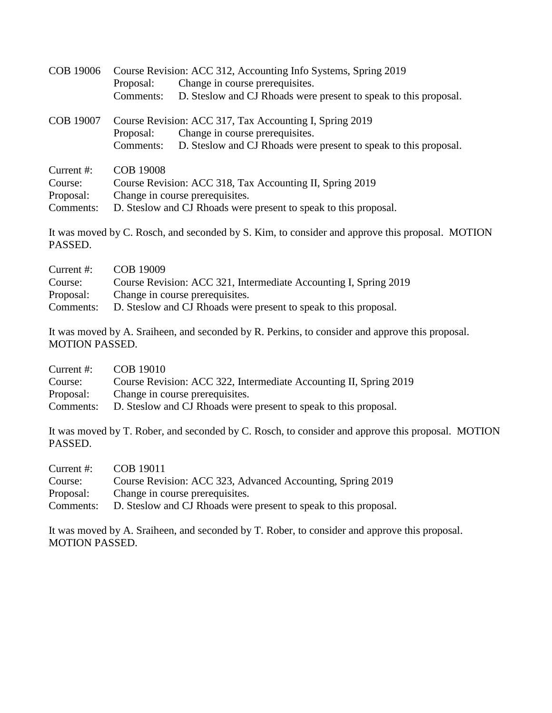| COB 19006        | Course Revision: ACC 312, Accounting Info Systems, Spring 2019 |                                                                  |
|------------------|----------------------------------------------------------------|------------------------------------------------------------------|
|                  | Proposal:                                                      | Change in course prerequisites.                                  |
|                  | Comments:                                                      | D. Steslow and CJ Rhoads were present to speak to this proposal. |
| <b>COB 19007</b> |                                                                | Course Revision: ACC 317, Tax Accounting I, Spring 2019          |
|                  | Proposal:                                                      | Change in course prerequisites.                                  |
|                  | Comments:                                                      | D. Steslow and CJ Rhoads were present to speak to this proposal. |
| Current $#$ :    | <b>COB 19008</b>                                               |                                                                  |
| Course:          |                                                                | Course Revision: ACC 318, Tax Accounting II, Spring 2019         |
| Proposal:        |                                                                | Change in course prerequisites.                                  |
| Comments:        |                                                                | D. Steslow and CJ Rhoads were present to speak to this proposal. |

It was moved by C. Rosch, and seconded by S. Kim, to consider and approve this proposal. MOTION PASSED.

| Current $#$ : | COB 19009                                                        |
|---------------|------------------------------------------------------------------|
| Course:       | Course Revision: ACC 321, Intermediate Accounting I, Spring 2019 |
| Proposal:     | Change in course prerequisites.                                  |
| Comments:     | D. Steslow and CJ Rhoads were present to speak to this proposal. |

It was moved by A. Sraiheen, and seconded by R. Perkins, to consider and approve this proposal. MOTION PASSED.

| Current $#$ : | COB 19010                                                         |
|---------------|-------------------------------------------------------------------|
| Course:       | Course Revision: ACC 322, Intermediate Accounting II, Spring 2019 |
| Proposal:     | Change in course prerequisites.                                   |
| Comments:     | D. Steslow and CJ Rhoads were present to speak to this proposal.  |

It was moved by T. Rober, and seconded by C. Rosch, to consider and approve this proposal. MOTION PASSED.

| Current $#$ : | COB 19011                                                        |
|---------------|------------------------------------------------------------------|
| Course:       | Course Revision: ACC 323, Advanced Accounting, Spring 2019       |
| Proposal:     | Change in course prerequisites.                                  |
| Comments:     | D. Steslow and CJ Rhoads were present to speak to this proposal. |

It was moved by A. Sraiheen, and seconded by T. Rober, to consider and approve this proposal. MOTION PASSED.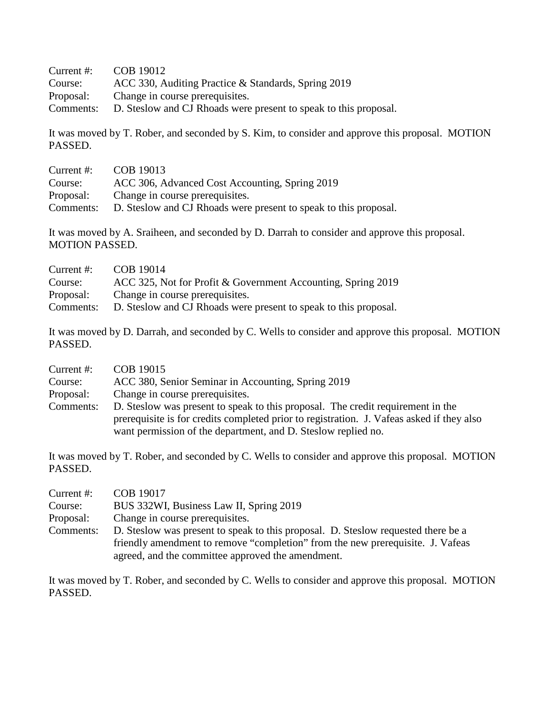| Current $#$ : | COB 19012                                                        |
|---------------|------------------------------------------------------------------|
| Course:       | ACC 330, Auditing Practice & Standards, Spring 2019              |
| Proposal:     | Change in course prerequisites.                                  |
| Comments:     | D. Steslow and CJ Rhoads were present to speak to this proposal. |

It was moved by T. Rober, and seconded by S. Kim, to consider and approve this proposal. MOTION PASSED.

| COB 19013                                                        |
|------------------------------------------------------------------|
| ACC 306, Advanced Cost Accounting, Spring 2019                   |
| Change in course prerequisites.                                  |
| D. Steslow and CJ Rhoads were present to speak to this proposal. |
|                                                                  |

It was moved by A. Sraiheen, and seconded by D. Darrah to consider and approve this proposal. MOTION PASSED.

| Current $#$ : | COB 19014                                                        |
|---------------|------------------------------------------------------------------|
| Course:       | ACC 325, Not for Profit & Government Accounting, Spring 2019     |
| Proposal:     | Change in course prerequisites.                                  |
| Comments:     | D. Steslow and CJ Rhoads were present to speak to this proposal. |

It was moved by D. Darrah, and seconded by C. Wells to consider and approve this proposal. MOTION PASSED.

| Current $#$ : | COB 19015                                                                                 |
|---------------|-------------------------------------------------------------------------------------------|
| Course:       | ACC 380, Senior Seminar in Accounting, Spring 2019                                        |
| Proposal:     | Change in course prerequisites.                                                           |
| Comments:     | D. Steslow was present to speak to this proposal. The credit requirement in the           |
|               | prerequisite is for credits completed prior to registration. J. Vafeas asked if they also |
|               | want permission of the department, and D. Steslow replied no.                             |

It was moved by T. Rober, and seconded by C. Wells to consider and approve this proposal. MOTION PASSED.

| Current $#$ : | COB 19017                                                                         |
|---------------|-----------------------------------------------------------------------------------|
| Course:       | BUS 332WI, Business Law II, Spring 2019                                           |
| Proposal:     | Change in course prerequisites.                                                   |
| Comments:     | D. Steslow was present to speak to this proposal. D. Steslow requested there be a |
|               | friendly amendment to remove "completion" from the new prerequisite. J. Vafeas    |
|               | agreed, and the committee approved the amendment.                                 |

It was moved by T. Rober, and seconded by C. Wells to consider and approve this proposal. MOTION PASSED.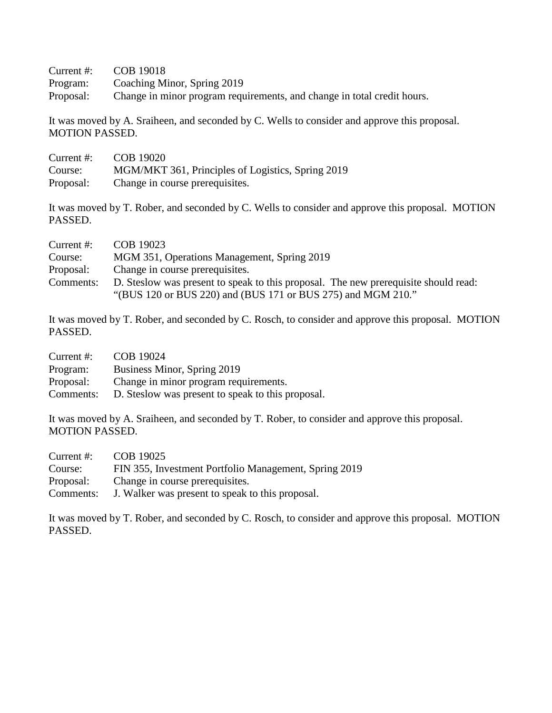Current #: COB 19018

Program: Coaching Minor, Spring 2019

Proposal: Change in minor program requirements, and change in total credit hours.

It was moved by A. Sraiheen, and seconded by C. Wells to consider and approve this proposal. MOTION PASSED.

| Current $#$ : | COB 19020                                         |
|---------------|---------------------------------------------------|
| Course:       | MGM/MKT 361, Principles of Logistics, Spring 2019 |
| Proposal:     | Change in course prerequisites.                   |

It was moved by T. Rober, and seconded by C. Wells to consider and approve this proposal. MOTION PASSED.

| Current #: | COB 19023                                                                           |
|------------|-------------------------------------------------------------------------------------|
| Course:    | MGM 351, Operations Management, Spring 2019                                         |
| Proposal:  | Change in course prerequisites.                                                     |
| Comments:  | D. Steslow was present to speak to this proposal. The new prerequisite should read: |
|            | "(BUS 120 or BUS 220) and (BUS 171 or BUS 275) and MGM 210."                        |

It was moved by T. Rober, and seconded by C. Rosch, to consider and approve this proposal. MOTION PASSED.

| Current $#$ : | COB 19024                                         |
|---------------|---------------------------------------------------|
| Program:      | Business Minor, Spring 2019                       |
| Proposal:     | Change in minor program requirements.             |
| Comments:     | D. Steslow was present to speak to this proposal. |

It was moved by A. Sraiheen, and seconded by T. Rober, to consider and approve this proposal. MOTION PASSED.

| Current #: | COB 19025                                             |
|------------|-------------------------------------------------------|
| Course:    | FIN 355, Investment Portfolio Management, Spring 2019 |
| Proposal:  | Change in course prerequisities.                      |
| Comments:  | J. Walker was present to speak to this proposal.      |

It was moved by T. Rober, and seconded by C. Rosch, to consider and approve this proposal. MOTION PASSED.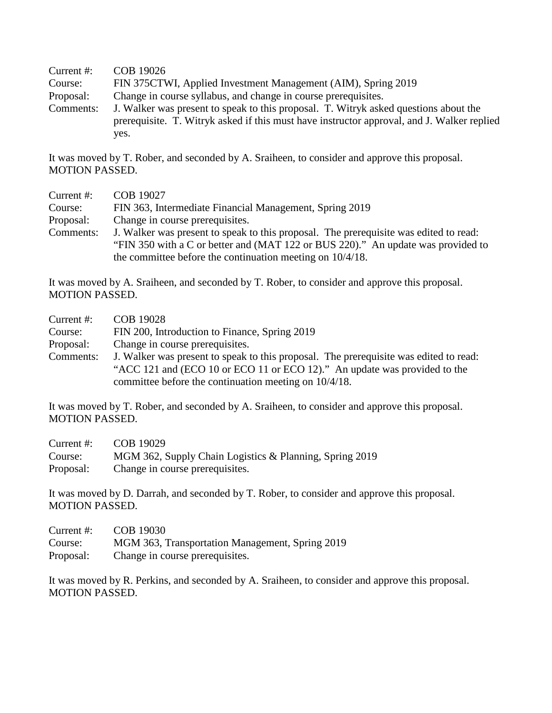| Current $#$ : | COB 19026                                                                                                                                                                          |
|---------------|------------------------------------------------------------------------------------------------------------------------------------------------------------------------------------|
| Course:       | FIN 375CTWI, Applied Investment Management (AIM), Spring 2019                                                                                                                      |
| Proposal:     | Change in course syllabus, and change in course prerequisites.                                                                                                                     |
| Comments:     | J. Walker was present to speak to this proposal. T. Witryk asked questions about the<br>prerequisite. T. Witryk asked if this must have instructor approval, and J. Walker replied |
|               | yes.                                                                                                                                                                               |

It was moved by T. Rober, and seconded by A. Sraiheen, to consider and approve this proposal. MOTION PASSED.

| Current #: | COB 19027                                                                             |
|------------|---------------------------------------------------------------------------------------|
| Course:    | FIN 363, Intermediate Financial Management, Spring 2019                               |
| Proposal:  | Change in course prerequisites.                                                       |
| Comments:  | J. Walker was present to speak to this proposal. The prerequisite was edited to read: |
|            | "FIN 350 with a C or better and (MAT 122 or BUS 220)." An update was provided to      |
|            | the committee before the continuation meeting on $10/4/18$ .                          |

It was moved by A. Sraiheen, and seconded by T. Rober, to consider and approve this proposal. MOTION PASSED.

| Current $#$ : | <b>COB 19028</b>                                                                                                                                                                                                            |
|---------------|-----------------------------------------------------------------------------------------------------------------------------------------------------------------------------------------------------------------------------|
| Course:       | FIN 200, Introduction to Finance, Spring 2019                                                                                                                                                                               |
| Proposal:     | Change in course prerequisites.                                                                                                                                                                                             |
| Comments:     | J. Walker was present to speak to this proposal. The prerequisite was edited to read:<br>"ACC 121 and (ECO 10 or ECO 11 or ECO 12)." An update was provided to the<br>committee before the continuation meeting on 10/4/18. |

It was moved by T. Rober, and seconded by A. Sraiheen, to consider and approve this proposal. MOTION PASSED.

| Current $#$ : | COB 19029                                               |
|---------------|---------------------------------------------------------|
| Course:       | MGM 362, Supply Chain Logistics & Planning, Spring 2019 |
| Proposal:     | Change in course prerequisites.                         |

It was moved by D. Darrah, and seconded by T. Rober, to consider and approve this proposal. MOTION PASSED.

| Current $#$ : | COB 19030                                       |
|---------------|-------------------------------------------------|
| Course:       | MGM 363, Transportation Management, Spring 2019 |
| Proposal:     | Change in course prerequisites.                 |

It was moved by R. Perkins, and seconded by A. Sraiheen, to consider and approve this proposal. MOTION PASSED.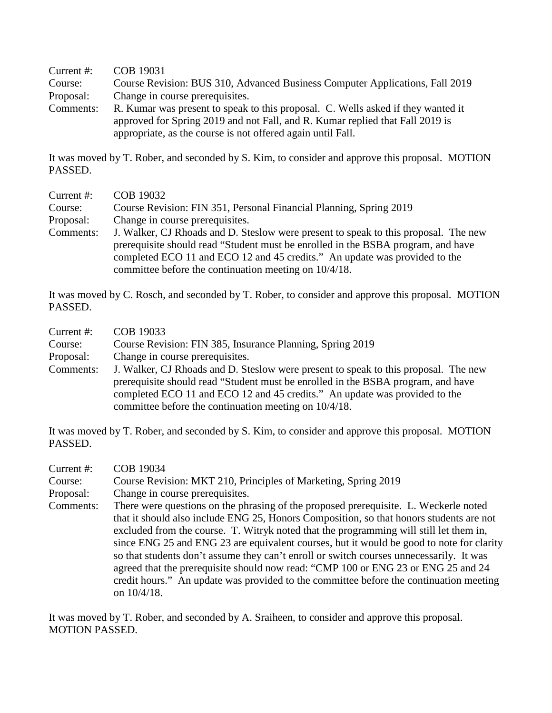Current #: COB 19031 Course: Course Revision: BUS 310, Advanced Business Computer Applications, Fall 2019 Proposal: Change in course prerequisites. Comments: R. Kumar was present to speak to this proposal. C. Wells asked if they wanted it approved for Spring 2019 and not Fall, and R. Kumar replied that Fall 2019 is appropriate, as the course is not offered again until Fall.

It was moved by T. Rober, and seconded by S. Kim, to consider and approve this proposal. MOTION PASSED.

| Current $#$ : | COB 19032                                                                                                                                                                                                                                                                                                      |
|---------------|----------------------------------------------------------------------------------------------------------------------------------------------------------------------------------------------------------------------------------------------------------------------------------------------------------------|
| Course:       | Course Revision: FIN 351, Personal Financial Planning, Spring 2019                                                                                                                                                                                                                                             |
| Proposal:     | Change in course prerequisites.                                                                                                                                                                                                                                                                                |
| Comments:     | J. Walker, CJ Rhoads and D. Steslow were present to speak to this proposal. The new<br>prerequisite should read "Student must be enrolled in the BSBA program, and have<br>completed ECO 11 and ECO 12 and 45 credits." An update was provided to the<br>committee before the continuation meeting on 10/4/18. |

It was moved by C. Rosch, and seconded by T. Rober, to consider and approve this proposal. MOTION PASSED.

| Current $#$ : | COB 19033                                                                           |
|---------------|-------------------------------------------------------------------------------------|
| Course:       | Course Revision: FIN 385, Insurance Planning, Spring 2019                           |
| Proposal:     | Change in course prerequisites.                                                     |
| Comments:     | J. Walker, CJ Rhoads and D. Steslow were present to speak to this proposal. The new |
|               | prerequisite should read "Student must be enrolled in the BSBA program, and have    |
|               | completed ECO 11 and ECO 12 and 45 credits." An update was provided to the          |
|               | committee before the continuation meeting on 10/4/18.                               |

It was moved by T. Rober, and seconded by S. Kim, to consider and approve this proposal. MOTION PASSED.

| Current #:<br>Course: | COB 19034<br>Course Revision: MKT 210, Principles of Marketing, Spring 2019                                                                                                                                                                                                                                                                                                                                                                                                                                                                                                                                                                                       |
|-----------------------|-------------------------------------------------------------------------------------------------------------------------------------------------------------------------------------------------------------------------------------------------------------------------------------------------------------------------------------------------------------------------------------------------------------------------------------------------------------------------------------------------------------------------------------------------------------------------------------------------------------------------------------------------------------------|
| Proposal:             | Change in course prerequisites.                                                                                                                                                                                                                                                                                                                                                                                                                                                                                                                                                                                                                                   |
| Comments:             | There were questions on the phrasing of the proposed prerequisite. L. Weckerle noted<br>that it should also include ENG 25, Honors Composition, so that honors students are not<br>excluded from the course. T. Witryk noted that the programming will still let them in,<br>since ENG 25 and ENG 23 are equivalent courses, but it would be good to note for clarity<br>so that students don't assume they can't enroll or switch courses unnecessarily. It was<br>agreed that the prerequisite should now read: "CMP 100 or ENG 23 or ENG 25 and 24<br>credit hours." An update was provided to the committee before the continuation meeting<br>on $10/4/18$ . |

It was moved by T. Rober, and seconded by A. Sraiheen, to consider and approve this proposal. MOTION PASSED.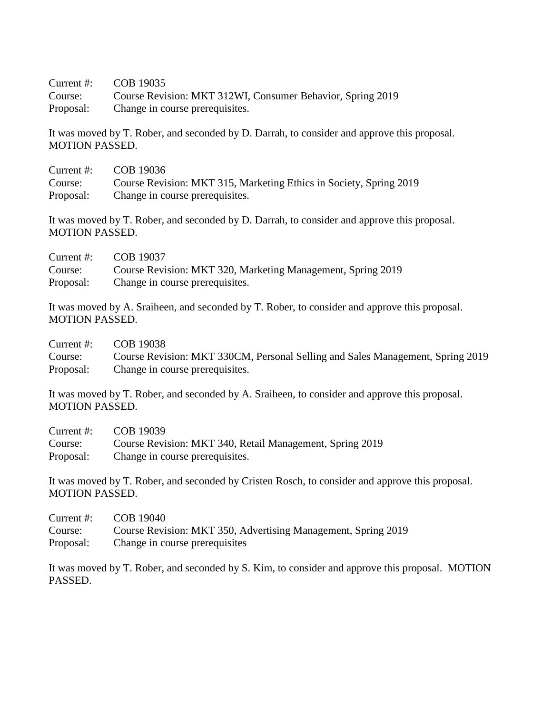Current #: COB 19035 Course: Course Revision: MKT 312WI, Consumer Behavior, Spring 2019 Proposal: Change in course prerequisites.

It was moved by T. Rober, and seconded by D. Darrah, to consider and approve this proposal. MOTION PASSED.

| Current $#$ : | COB 19036                                                          |
|---------------|--------------------------------------------------------------------|
| Course:       | Course Revision: MKT 315, Marketing Ethics in Society, Spring 2019 |
| Proposal:     | Change in course prerequisites.                                    |

It was moved by T. Rober, and seconded by D. Darrah, to consider and approve this proposal. MOTION PASSED.

| Current $#$ : | COB 19037                                                   |
|---------------|-------------------------------------------------------------|
| Course:       | Course Revision: MKT 320, Marketing Management, Spring 2019 |
| Proposal:     | Change in course prerequisites.                             |

It was moved by A. Sraiheen, and seconded by T. Rober, to consider and approve this proposal. MOTION PASSED.

Current #: COB 19038 Course: Course Revision: MKT 330CM, Personal Selling and Sales Management, Spring 2019 Proposal: Change in course prerequisites.

It was moved by T. Rober, and seconded by A. Sraiheen, to consider and approve this proposal. MOTION PASSED.

| Current $#$ : | COB 19039                                                |
|---------------|----------------------------------------------------------|
| Course:       | Course Revision: MKT 340, Retail Management, Spring 2019 |
| Proposal:     | Change in course prerequisites.                          |

It was moved by T. Rober, and seconded by Cristen Rosch, to consider and approve this proposal. MOTION PASSED.

| Current #: | COB 19040                                                     |
|------------|---------------------------------------------------------------|
| Course:    | Course Revision: MKT 350, Advertising Management, Spring 2019 |
| Proposal:  | Change in course prerequisites                                |

It was moved by T. Rober, and seconded by S. Kim, to consider and approve this proposal. MOTION PASSED.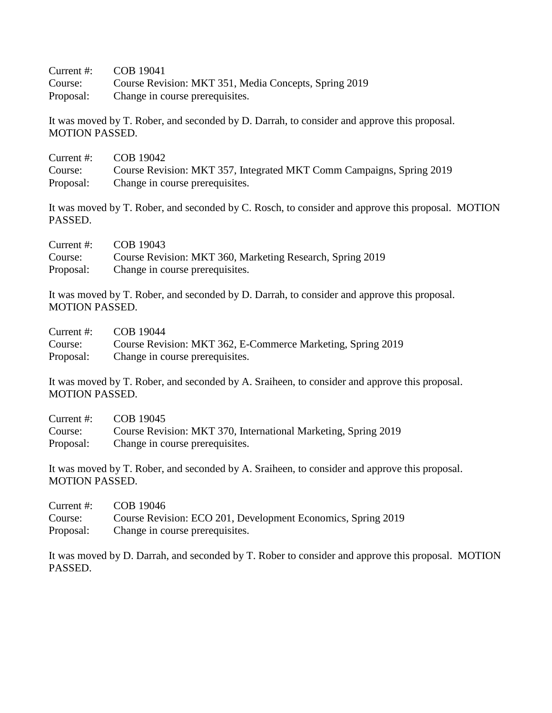Current #: COB 19041 Course: Course Revision: MKT 351, Media Concepts, Spring 2019 Proposal: Change in course prerequisites.

It was moved by T. Rober, and seconded by D. Darrah, to consider and approve this proposal. MOTION PASSED.

| Current #: | COB 19042                                                            |
|------------|----------------------------------------------------------------------|
| Course:    | Course Revision: MKT 357, Integrated MKT Comm Campaigns, Spring 2019 |
| Proposal:  | Change in course prerequisites.                                      |

It was moved by T. Rober, and seconded by C. Rosch, to consider and approve this proposal. MOTION PASSED.

| Current $#$ : | COB 19043                                                 |
|---------------|-----------------------------------------------------------|
| Course:       | Course Revision: MKT 360, Marketing Research, Spring 2019 |
| Proposal:     | Change in course prerequisites.                           |

It was moved by T. Rober, and seconded by D. Darrah, to consider and approve this proposal. MOTION PASSED.

| Current #: | COB 19044                                                   |
|------------|-------------------------------------------------------------|
| Course:    | Course Revision: MKT 362, E-Commerce Marketing, Spring 2019 |
| Proposal:  | Change in course prerequisites.                             |

It was moved by T. Rober, and seconded by A. Sraiheen, to consider and approve this proposal. MOTION PASSED.

| Current #: | COB 19045                                                      |
|------------|----------------------------------------------------------------|
| Course:    | Course Revision: MKT 370, International Marketing, Spring 2019 |
| Proposal:  | Change in course prerequisites.                                |

It was moved by T. Rober, and seconded by A. Sraiheen, to consider and approve this proposal. MOTION PASSED.

| Current $#$ : | COB 19046                                                    |
|---------------|--------------------------------------------------------------|
| Course:       | Course Revision: ECO 201, Development Economics, Spring 2019 |
| Proposal:     | Change in course prerequisites.                              |

It was moved by D. Darrah, and seconded by T. Rober to consider and approve this proposal. MOTION PASSED.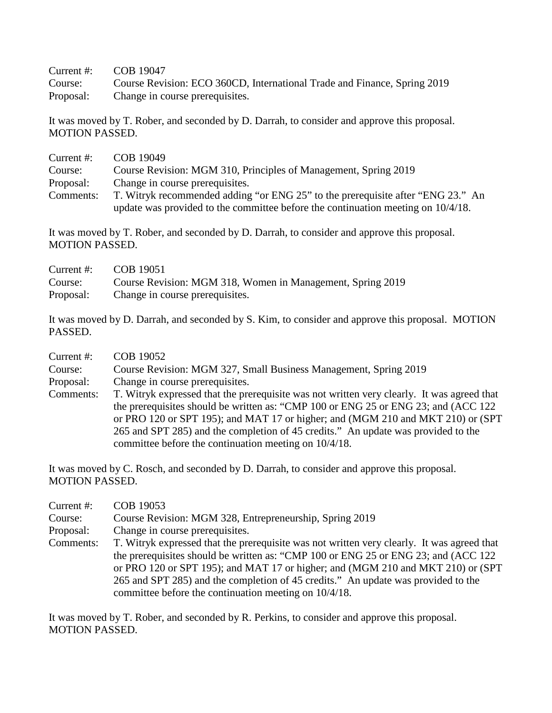Current #: COB 19047

Course: Course Revision: ECO 360CD, International Trade and Finance, Spring 2019 Proposal: Change in course prerequisites.

It was moved by T. Rober, and seconded by D. Darrah, to consider and approve this proposal. MOTION PASSED.

| Current $#$ : | COB 19049                                                                           |
|---------------|-------------------------------------------------------------------------------------|
| Course:       | Course Revision: MGM 310, Principles of Management, Spring 2019                     |
| Proposal:     | Change in course prerequisites.                                                     |
| Comments:     | T. Witryk recommended adding "or ENG 25" to the prerequisite after "ENG 23." An     |
|               | update was provided to the committee before the continuation meeting on $10/4/18$ . |

It was moved by T. Rober, and seconded by D. Darrah, to consider and approve this proposal. MOTION PASSED.

| Current $#$ : | COB 19051                                                  |
|---------------|------------------------------------------------------------|
| Course:       | Course Revision: MGM 318, Women in Management, Spring 2019 |
| Proposal:     | Change in course prerequisites.                            |

It was moved by D. Darrah, and seconded by S. Kim, to consider and approve this proposal. MOTION PASSED.

| Current $#$ : | COB 19052                                                                                  |
|---------------|--------------------------------------------------------------------------------------------|
| Course:       | Course Revision: MGM 327, Small Business Management, Spring 2019                           |
| Proposal:     | Change in course prerequisites.                                                            |
| Comments:     | T. Witryk expressed that the prerequisite was not written very clearly. It was agreed that |
|               | the prerequisites should be written as: "CMP 100 or ENG 25 or ENG 23; and (ACC 122)        |
|               | or PRO 120 or SPT 195); and MAT 17 or higher; and (MGM 210 and MKT 210) or (SPT            |
|               | 265 and SPT 285) and the completion of 45 credits." An update was provided to the          |
|               | committee before the continuation meeting on 10/4/18.                                      |

It was moved by C. Rosch, and seconded by D. Darrah, to consider and approve this proposal. MOTION PASSED.

| Current $#$ : | COB 19053                                                                                  |
|---------------|--------------------------------------------------------------------------------------------|
| Course:       | Course Revision: MGM 328, Entrepreneurship, Spring 2019                                    |
| Proposal:     | Change in course prerequisites.                                                            |
| Comments:     | T. Witryk expressed that the prerequisite was not written very clearly. It was agreed that |
|               | the prerequisites should be written as: "CMP 100 or ENG 25 or ENG 23; and (ACC 122)        |
|               | or PRO 120 or SPT 195); and MAT 17 or higher; and (MGM 210 and MKT 210) or (SPT            |
|               | 265 and SPT 285) and the completion of 45 credits." An update was provided to the          |
|               | committee before the continuation meeting on 10/4/18.                                      |

It was moved by T. Rober, and seconded by R. Perkins, to consider and approve this proposal. MOTION PASSED.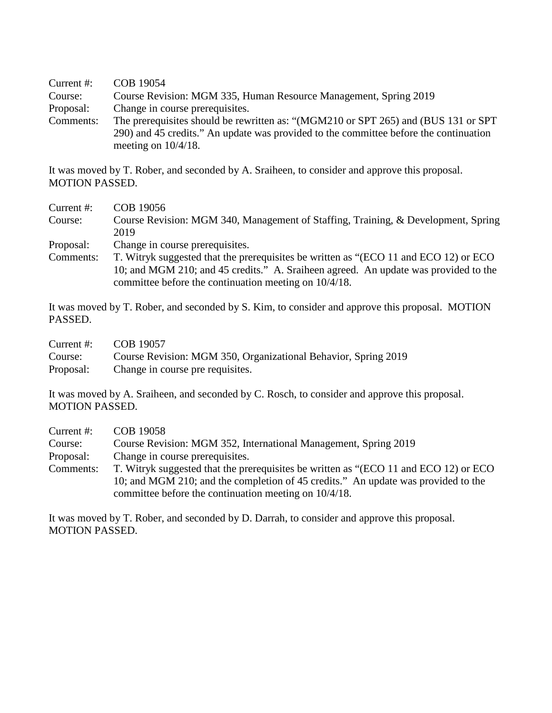Current #: COB 19054 Course: Course Revision: MGM 335, Human Resource Management, Spring 2019 Proposal: Change in course prerequisites. Comments: The prerequisites should be rewritten as: "(MGM210 or SPT 265) and (BUS 131 or SPT 290) and 45 credits." An update was provided to the committee before the continuation meeting on 10/4/18.

It was moved by T. Rober, and seconded by A. Sraiheen, to consider and approve this proposal. MOTION PASSED.

- Current #: COB 19056 Course: Course Revision: MGM 340, Management of Staffing, Training, & Development, Spring 2019
- Proposal: Change in course prerequisites.
- Comments: T. Witryk suggested that the prerequisites be written as "(ECO 11 and ECO 12) or ECO 10; and MGM 210; and 45 credits." A. Sraiheen agreed. An update was provided to the committee before the continuation meeting on 10/4/18.

It was moved by T. Rober, and seconded by S. Kim, to consider and approve this proposal. MOTION PASSED.

| Current #: | COB 19057                                                      |
|------------|----------------------------------------------------------------|
| Course:    | Course Revision: MGM 350, Organizational Behavior, Spring 2019 |
| Proposal:  | Change in course pre requisites.                               |

It was moved by A. Sraiheen, and seconded by C. Rosch, to consider and approve this proposal. MOTION PASSED.

| Current #: | COB 19058                                                                            |
|------------|--------------------------------------------------------------------------------------|
| Course:    | Course Revision: MGM 352, International Management, Spring 2019                      |
| Proposal:  | Change in course prerequisites.                                                      |
| Comments:  | T. Witryk suggested that the prerequisites be written as "(ECO 11 and ECO 12) or ECO |
|            | 10; and MGM 210; and the completion of 45 credits." An update was provided to the    |
|            | committee before the continuation meeting on 10/4/18.                                |

It was moved by T. Rober, and seconded by D. Darrah, to consider and approve this proposal. MOTION PASSED.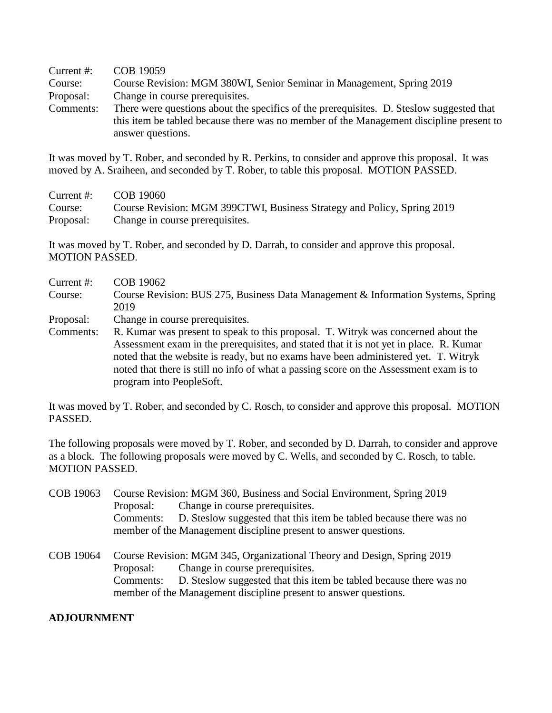Current #: COB 19059 Course: Course Revision: MGM 380WI, Senior Seminar in Management, Spring 2019 Proposal: Change in course prerequisites. Comments: There were questions about the specifics of the prerequisites. D. Steslow suggested that this item be tabled because there was no member of the Management discipline present to answer questions.

It was moved by T. Rober, and seconded by R. Perkins, to consider and approve this proposal. It was moved by A. Sraiheen, and seconded by T. Rober, to table this proposal. MOTION PASSED.

Current #: COB 19060 Course: Course Revision: MGM 399CTWI, Business Strategy and Policy, Spring 2019 Proposal: Change in course prerequisites.

It was moved by T. Rober, and seconded by D. Darrah, to consider and approve this proposal. MOTION PASSED.

- Current #: COB 19062 Course: Course Revision: BUS 275, Business Data Management & Information Systems, Spring 2019 Proposal: Change in course prerequisites. Comments: R. Kumar was present to speak to this proposal. T. Witryk was concerned about the
- Assessment exam in the prerequisites, and stated that it is not yet in place. R. Kumar noted that the website is ready, but no exams have been administered yet. T. Witryk noted that there is still no info of what a passing score on the Assessment exam is to program into PeopleSoft.

It was moved by T. Rober, and seconded by C. Rosch, to consider and approve this proposal. MOTION PASSED.

The following proposals were moved by T. Rober, and seconded by D. Darrah, to consider and approve as a block. The following proposals were moved by C. Wells, and seconded by C. Rosch, to table. MOTION PASSED.

COB 19063 Course Revision: MGM 360, Business and Social Environment, Spring 2019 Proposal: Change in course prerequisites. Comments: D. Steslow suggested that this item be tabled because there was no member of the Management discipline present to answer questions. COB 19064 Course Revision: MGM 345, Organizational Theory and Design, Spring 2019 Proposal: Change in course prerequisites. Comments: D. Steslow suggested that this item be tabled because there was no member of the Management discipline present to answer questions.

### **ADJOURNMENT**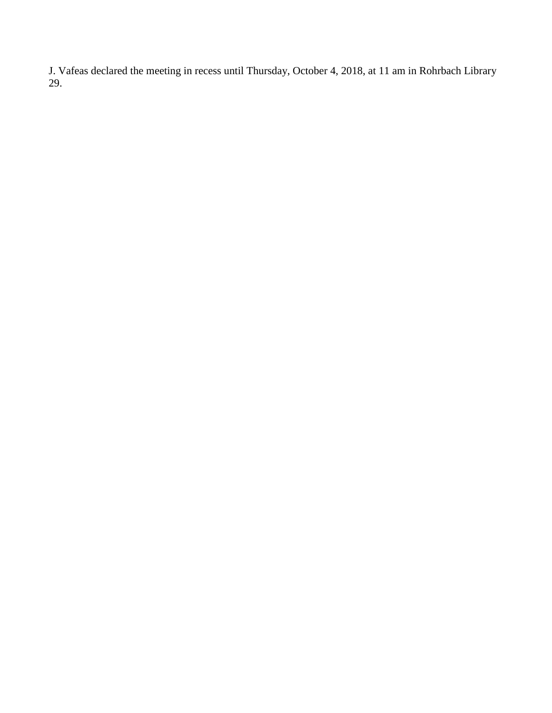J. Vafeas declared the meeting in recess until Thursday, October 4, 2018, at 11 am in Rohrbach Library 29.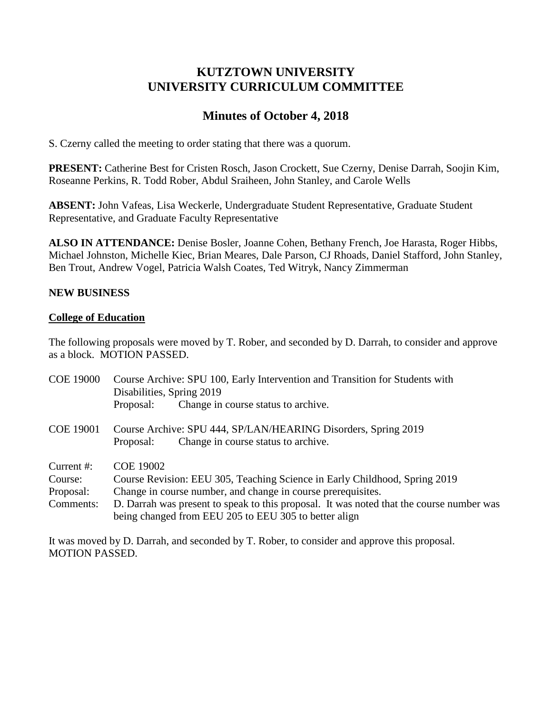# **KUTZTOWN UNIVERSITY UNIVERSITY CURRICULUM COMMITTEE**

# **Minutes of October 4, 2018**

S. Czerny called the meeting to order stating that there was a quorum.

**PRESENT:** Catherine Best for Cristen Rosch, Jason Crockett, Sue Czerny, Denise Darrah, Soojin Kim, Roseanne Perkins, R. Todd Rober, Abdul Sraiheen, John Stanley, and Carole Wells

**ABSENT:** John Vafeas, Lisa Weckerle, Undergraduate Student Representative, Graduate Student Representative, and Graduate Faculty Representative

**ALSO IN ATTENDANCE:** Denise Bosler, Joanne Cohen, Bethany French, Joe Harasta, Roger Hibbs, Michael Johnston, Michelle Kiec, Brian Meares, Dale Parson, CJ Rhoads, Daniel Stafford, John Stanley, Ben Trout, Andrew Vogel, Patricia Walsh Coates, Ted Witryk, Nancy Zimmerman

# **NEW BUSINESS**

## **College of Education**

The following proposals were moved by T. Rober, and seconded by D. Darrah, to consider and approve as a block. MOTION PASSED.

| <b>COE 19000</b>                                | Course Archive: SPU 100, Early Intervention and Transition for Students with<br>Disabilities, Spring 2019                                                                                                                                                                                                           |
|-------------------------------------------------|---------------------------------------------------------------------------------------------------------------------------------------------------------------------------------------------------------------------------------------------------------------------------------------------------------------------|
|                                                 | Change in course status to archive.<br>Proposal:                                                                                                                                                                                                                                                                    |
| <b>COE 19001</b>                                | Course Archive: SPU 444, SP/LAN/HEARING Disorders, Spring 2019<br>Change in course status to archive.<br>Proposal:                                                                                                                                                                                                  |
| Current #:<br>Course:<br>Proposal:<br>Comments: | <b>COE 19002</b><br>Course Revision: EEU 305, Teaching Science in Early Childhood, Spring 2019<br>Change in course number, and change in course prerequisites.<br>D. Darrah was present to speak to this proposal. It was noted that the course number was<br>being changed from EEU 205 to EEU 305 to better align |

It was moved by D. Darrah, and seconded by T. Rober, to consider and approve this proposal. MOTION PASSED.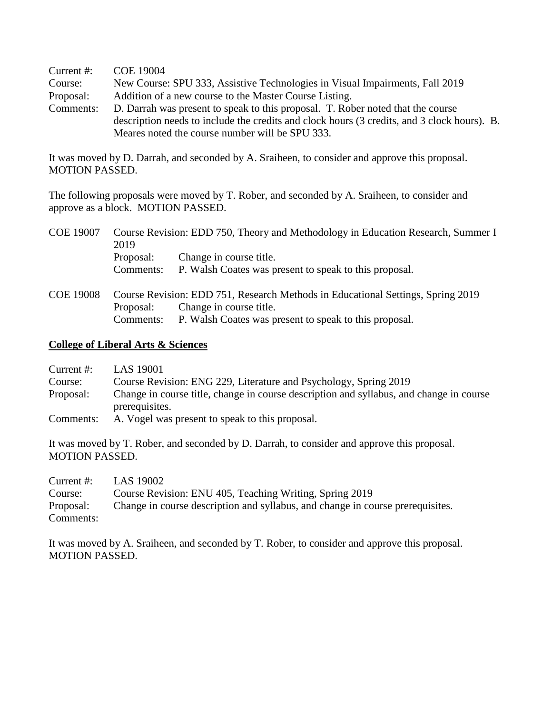Current #: COE 19004

Course: New Course: SPU 333, Assistive Technologies in Visual Impairments, Fall 2019 Proposal: Addition of a new course to the Master Course Listing.

Comments: D. Darrah was present to speak to this proposal. T. Rober noted that the course description needs to include the credits and clock hours (3 credits, and 3 clock hours). B. Meares noted the course number will be SPU 333.

It was moved by D. Darrah, and seconded by A. Sraiheen, to consider and approve this proposal. MOTION PASSED.

The following proposals were moved by T. Rober, and seconded by A. Sraiheen, to consider and approve as a block. MOTION PASSED.

| <b>COE 19007</b> | 2019                                                                            | Course Revision: EDD 750, Theory and Methodology in Education Research, Summer I |  |
|------------------|---------------------------------------------------------------------------------|----------------------------------------------------------------------------------|--|
|                  | Proposal:                                                                       | Change in course title.                                                          |  |
|                  | Comments:                                                                       | P. Walsh Coates was present to speak to this proposal.                           |  |
| <b>COE 19008</b> | Course Revision: EDD 751, Research Methods in Educational Settings, Spring 2019 |                                                                                  |  |
|                  | Proposal:                                                                       | Change in course title.                                                          |  |
|                  | Comments:                                                                       | P. Walsh Coates was present to speak to this proposal.                           |  |

## **College of Liberal Arts & Sciences**

Current #: LAS 19001

Course: Course Revision: ENG 229, Literature and Psychology, Spring 2019

- Proposal: Change in course title, change in course description and syllabus, and change in course prerequisites.
- Comments: A. Vogel was present to speak to this proposal.

It was moved by T. Rober, and seconded by D. Darrah, to consider and approve this proposal. MOTION PASSED.

| Current #: | LAS 19002                                                                      |
|------------|--------------------------------------------------------------------------------|
| Course:    | Course Revision: ENU 405, Teaching Writing, Spring 2019                        |
| Proposal:  | Change in course description and syllabus, and change in course prerequisites. |
| Comments:  |                                                                                |

It was moved by A. Sraiheen, and seconded by T. Rober, to consider and approve this proposal. MOTION PASSED.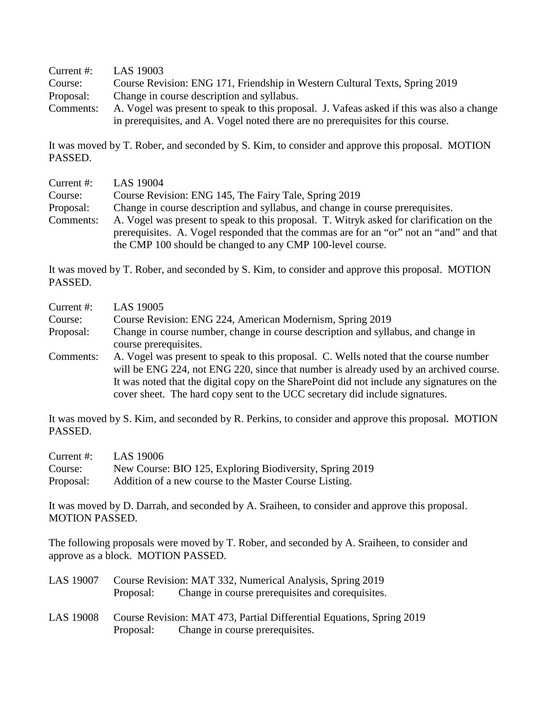Current #: LAS 19003 Course: Course Revision: ENG 171, Friendship in Western Cultural Texts, Spring 2019 Proposal: Change in course description and syllabus. Comments: A. Vogel was present to speak to this proposal. J. Vafeas asked if this was also a change in prerequisites, and A. Vogel noted there are no prerequisites for this course.

It was moved by T. Rober, and seconded by S. Kim, to consider and approve this proposal. MOTION PASSED.

| Current #: | LAS 19004                                                                                |
|------------|------------------------------------------------------------------------------------------|
| Course:    | Course Revision: ENG 145, The Fairy Tale, Spring 2019                                    |
| Proposal:  | Change in course description and syllabus, and change in course prerequisites.           |
| Comments:  | A. Vogel was present to speak to this proposal. T. Witryk asked for clarification on the |
|            | prerequisites. A. Vogel responded that the commas are for an "or" not an "and" and that  |
|            | the CMP 100 should be changed to any CMP 100-level course.                               |

It was moved by T. Rober, and seconded by S. Kim, to consider and approve this proposal. MOTION PASSED.

| Current $#$ : | LAS 19005                                                                                                                                                                                                                                                                                                                                                     |
|---------------|---------------------------------------------------------------------------------------------------------------------------------------------------------------------------------------------------------------------------------------------------------------------------------------------------------------------------------------------------------------|
| Course:       | Course Revision: ENG 224, American Modernism, Spring 2019                                                                                                                                                                                                                                                                                                     |
| Proposal:     | Change in course number, change in course description and syllabus, and change in<br>course prerequisites.                                                                                                                                                                                                                                                    |
| Comments:     | A. Vogel was present to speak to this proposal. C. Wells noted that the course number<br>will be ENG 224, not ENG 220, since that number is already used by an archived course.<br>It was noted that the digital copy on the SharePoint did not include any signatures on the<br>cover sheet. The hard copy sent to the UCC secretary did include signatures. |

It was moved by S. Kim, and seconded by R. Perkins, to consider and approve this proposal. MOTION PASSED.

| Current #: | LAS 19006                                                |
|------------|----------------------------------------------------------|
| Course:    | New Course: BIO 125, Exploring Biodiversity, Spring 2019 |
| Proposal:  | Addition of a new course to the Master Course Listing.   |

It was moved by D. Darrah, and seconded by A. Sraiheen, to consider and approve this proposal. MOTION PASSED.

The following proposals were moved by T. Rober, and seconded by A. Sraiheen, to consider and approve as a block. MOTION PASSED.

| <b>LAS 19007</b> | Course Revision: MAT 332, Numerical Analysis, Spring 2019<br>Proposal: Change in course prerequisites and corequisites. |
|------------------|-------------------------------------------------------------------------------------------------------------------------|
| LAS 19008        | Course Revision: MAT 473, Partial Differential Equations, Spring 2019<br>Proposal: Change in course prerequisites.      |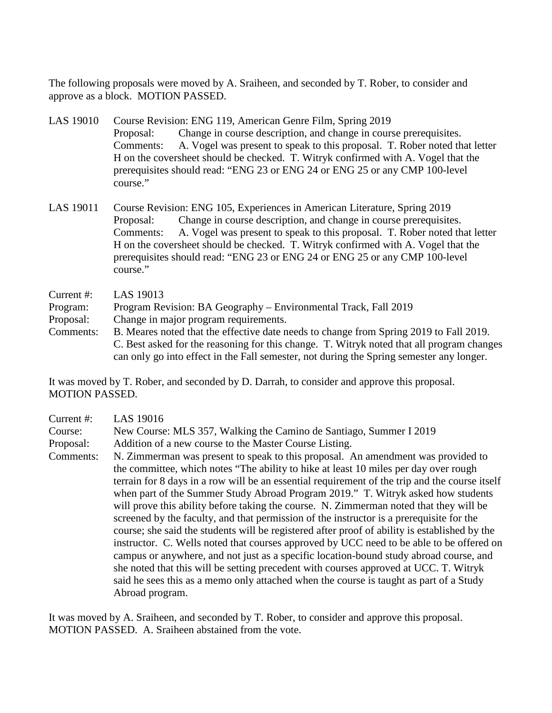The following proposals were moved by A. Sraiheen, and seconded by T. Rober, to consider and approve as a block. MOTION PASSED.

- LAS 19010 Course Revision: ENG 119, American Genre Film, Spring 2019 Proposal: Change in course description, and change in course prerequisites. Comments: A. Vogel was present to speak to this proposal. T. Rober noted that letter H on the coversheet should be checked. T. Witryk confirmed with A. Vogel that the prerequisites should read: "ENG 23 or ENG 24 or ENG 25 or any CMP 100-level course."
- LAS 19011 Course Revision: ENG 105, Experiences in American Literature, Spring 2019 Proposal: Change in course description, and change in course prerequisites. Comments: A. Vogel was present to speak to this proposal. T. Rober noted that letter H on the coversheet should be checked. T. Witryk confirmed with A. Vogel that the prerequisites should read: "ENG 23 or ENG 24 or ENG 25 or any CMP 100-level course."
- Current #: LAS 19013
- Program: Program Revision: BA Geography Environmental Track, Fall 2019
- Proposal: Change in major program requirements.
- Comments: B. Meares noted that the effective date needs to change from Spring 2019 to Fall 2019. C. Best asked for the reasoning for this change. T. Witryk noted that all program changes can only go into effect in the Fall semester, not during the Spring semester any longer.

It was moved by T. Rober, and seconded by D. Darrah, to consider and approve this proposal. MOTION PASSED.

| Current #: | LAS 19016                                                                                                                                                                                                                                                                                                                                                                                                                                                                                                                                                                                                                                                                                                                                                                                                                                                                                                                                                                                                                                         |
|------------|---------------------------------------------------------------------------------------------------------------------------------------------------------------------------------------------------------------------------------------------------------------------------------------------------------------------------------------------------------------------------------------------------------------------------------------------------------------------------------------------------------------------------------------------------------------------------------------------------------------------------------------------------------------------------------------------------------------------------------------------------------------------------------------------------------------------------------------------------------------------------------------------------------------------------------------------------------------------------------------------------------------------------------------------------|
| Course:    | New Course: MLS 357, Walking the Camino de Santiago, Summer I 2019                                                                                                                                                                                                                                                                                                                                                                                                                                                                                                                                                                                                                                                                                                                                                                                                                                                                                                                                                                                |
| Proposal:  | Addition of a new course to the Master Course Listing.                                                                                                                                                                                                                                                                                                                                                                                                                                                                                                                                                                                                                                                                                                                                                                                                                                                                                                                                                                                            |
| Comments:  | N. Zimmerman was present to speak to this proposal. An amendment was provided to<br>the committee, which notes "The ability to hike at least 10 miles per day over rough<br>terrain for 8 days in a row will be an essential requirement of the trip and the course itself<br>when part of the Summer Study Abroad Program 2019." T. Witryk asked how students<br>will prove this ability before taking the course. N. Zimmerman noted that they will be<br>screened by the faculty, and that permission of the instructor is a prerequisite for the<br>course; she said the students will be registered after proof of ability is established by the<br>instructor. C. Wells noted that courses approved by UCC need to be able to be offered on<br>campus or anywhere, and not just as a specific location-bound study abroad course, and<br>she noted that this will be setting precedent with courses approved at UCC. T. Witryk<br>said he sees this as a memo only attached when the course is taught as part of a Study<br>Abroad program. |

It was moved by A. Sraiheen, and seconded by T. Rober, to consider and approve this proposal. MOTION PASSED. A. Sraiheen abstained from the vote.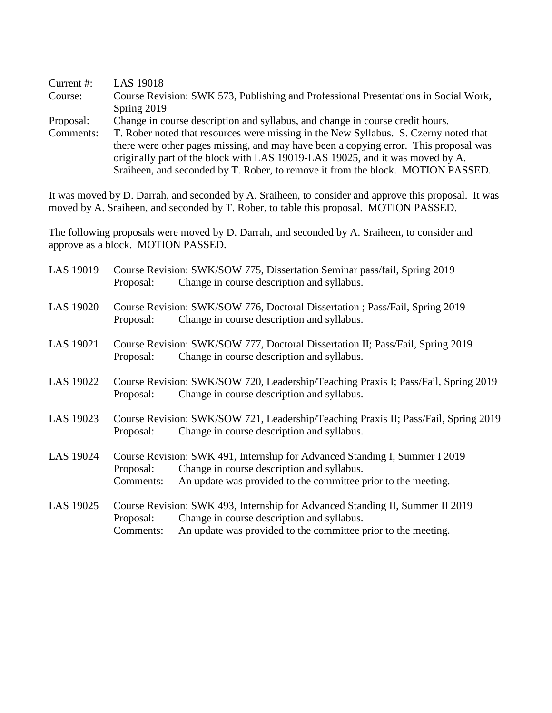| Current #: | <b>LAS 19018</b>                                                                     |
|------------|--------------------------------------------------------------------------------------|
| Course:    | Course Revision: SWK 573, Publishing and Professional Presentations in Social Work,  |
|            | Spring 2019                                                                          |
| Proposal:  | Change in course description and syllabus, and change in course credit hours.        |
| Comments:  | T. Rober noted that resources were missing in the New Syllabus. S. Czerny noted that |
|            | there were other pages missing, and may have been a copying error. This proposal was |
|            | originally part of the block with LAS 19019-LAS 19025, and it was moved by A.        |
|            | Sraiheen, and seconded by T. Rober, to remove it from the block. MOTION PASSED.      |

It was moved by D. Darrah, and seconded by A. Sraiheen, to consider and approve this proposal. It was moved by A. Sraiheen, and seconded by T. Rober, to table this proposal. MOTION PASSED.

The following proposals were moved by D. Darrah, and seconded by A. Sraiheen, to consider and approve as a block. MOTION PASSED.

| LAS 19019        | Course Revision: SWK/SOW 775, Dissertation Seminar pass/fail, Spring 2019<br>Change in course description and syllabus.<br>Proposal:                                                                                   |
|------------------|------------------------------------------------------------------------------------------------------------------------------------------------------------------------------------------------------------------------|
| <b>LAS 19020</b> | Course Revision: SWK/SOW 776, Doctoral Dissertation ; Pass/Fail, Spring 2019<br>Change in course description and syllabus.<br>Proposal:                                                                                |
| LAS 19021        | Course Revision: SWK/SOW 777, Doctoral Dissertation II; Pass/Fail, Spring 2019<br>Change in course description and syllabus.<br>Proposal:                                                                              |
| LAS 19022        | Course Revision: SWK/SOW 720, Leadership/Teaching Praxis I; Pass/Fail, Spring 2019<br>Change in course description and syllabus.<br>Proposal:                                                                          |
| LAS 19023        | Course Revision: SWK/SOW 721, Leadership/Teaching Praxis II; Pass/Fail, Spring 2019<br>Change in course description and syllabus.<br>Proposal:                                                                         |
| LAS 19024        | Course Revision: SWK 491, Internship for Advanced Standing I, Summer I 2019<br>Change in course description and syllabus.<br>Proposal:<br>An update was provided to the committee prior to the meeting.<br>Comments:   |
| LAS 19025        | Course Revision: SWK 493, Internship for Advanced Standing II, Summer II 2019<br>Change in course description and syllabus.<br>Proposal:<br>An update was provided to the committee prior to the meeting.<br>Comments: |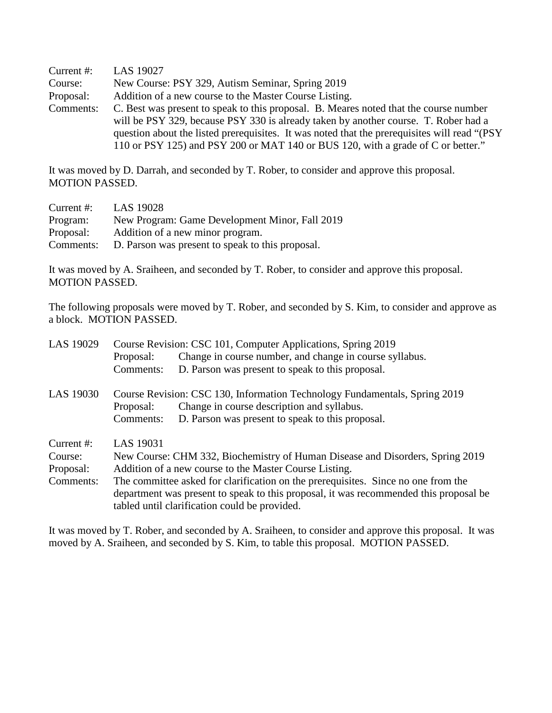Current #: LAS 19027 Course: New Course: PSY 329, Autism Seminar, Spring 2019 Proposal: Addition of a new course to the Master Course Listing. Comments: C. Best was present to speak to this proposal. B. Meares noted that the course number will be PSY 329, because PSY 330 is already taken by another course. T. Rober had a question about the listed prerequisites. It was noted that the prerequisites will read "(PSY 110 or PSY 125) and PSY 200 or MAT 140 or BUS 120, with a grade of C or better."

It was moved by D. Darrah, and seconded by T. Rober, to consider and approve this proposal. MOTION PASSED.

| Current #: | LAS 19028                                        |
|------------|--------------------------------------------------|
| Program:   | New Program: Game Development Minor, Fall 2019   |
| Proposal:  | Addition of a new minor program.                 |
| Comments:  | D. Parson was present to speak to this proposal. |

It was moved by A. Sraiheen, and seconded by T. Rober, to consider and approve this proposal. MOTION PASSED.

The following proposals were moved by T. Rober, and seconded by S. Kim, to consider and approve as a block. MOTION PASSED.

| LAS 19029  | Course Revision: CSC 101, Computer Applications, Spring 2019                          |                                                         |  |
|------------|---------------------------------------------------------------------------------------|---------------------------------------------------------|--|
|            | Proposal:                                                                             | Change in course number, and change in course syllabus. |  |
|            | Comments:                                                                             | D. Parson was present to speak to this proposal.        |  |
| LAS 19030  | Course Revision: CSC 130, Information Technology Fundamentals, Spring 2019            |                                                         |  |
|            | Proposal:                                                                             | Change in course description and syllabus.              |  |
|            | Comments:                                                                             | D. Parson was present to speak to this proposal.        |  |
| Current #: | LAS 19031                                                                             |                                                         |  |
| Course:    | New Course: CHM 332, Biochemistry of Human Disease and Disorders, Spring 2019         |                                                         |  |
| Proposal:  | Addition of a new course to the Master Course Listing.                                |                                                         |  |
| Comments:  | The committee asked for clarification on the prerequisites. Since no one from the     |                                                         |  |
|            | department was present to speak to this proposal, it was recommended this proposal be |                                                         |  |
|            |                                                                                       | tabled until clarification could be provided.           |  |

It was moved by T. Rober, and seconded by A. Sraiheen, to consider and approve this proposal. It was moved by A. Sraiheen, and seconded by S. Kim, to table this proposal. MOTION PASSED.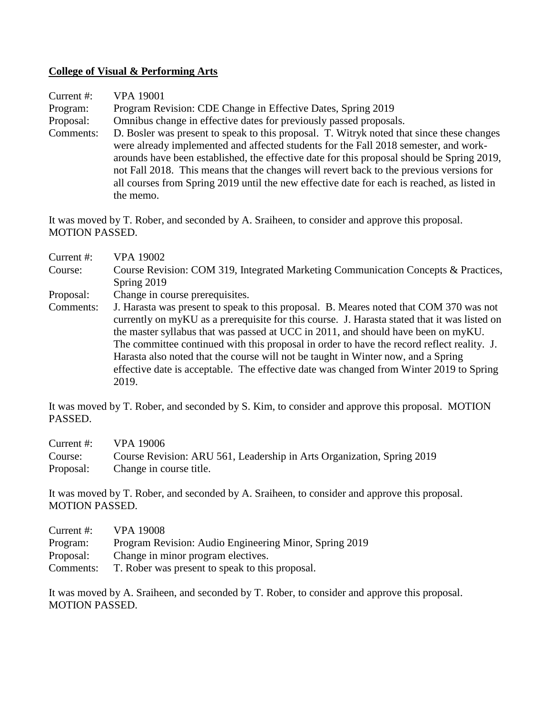### **College of Visual & Performing Arts**

| Current #: | <b>VPA 19001</b>                                                                                                                                                                                                                                                                                                                                                                                                                                                                        |
|------------|-----------------------------------------------------------------------------------------------------------------------------------------------------------------------------------------------------------------------------------------------------------------------------------------------------------------------------------------------------------------------------------------------------------------------------------------------------------------------------------------|
| Program:   | Program Revision: CDE Change in Effective Dates, Spring 2019                                                                                                                                                                                                                                                                                                                                                                                                                            |
| Proposal:  | Omnibus change in effective dates for previously passed proposals.                                                                                                                                                                                                                                                                                                                                                                                                                      |
| Comments:  | D. Bosler was present to speak to this proposal. T. Witryk noted that since these changes<br>were already implemented and affected students for the Fall 2018 semester, and work-<br>arounds have been established, the effective date for this proposal should be Spring 2019,<br>not Fall 2018. This means that the changes will revert back to the previous versions for<br>all courses from Spring 2019 until the new effective date for each is reached, as listed in<br>the memo. |

It was moved by T. Rober, and seconded by A. Sraiheen, to consider and approve this proposal. MOTION PASSED.

- Current #: VPA 19002 Course: Course Revision: COM 319, Integrated Marketing Communication Concepts & Practices, Spring 2019
- Proposal: Change in course prerequisites.
- Comments: J. Harasta was present to speak to this proposal. B. Meares noted that COM 370 was not currently on myKU as a prerequisite for this course. J. Harasta stated that it was listed on the master syllabus that was passed at UCC in 2011, and should have been on myKU. The committee continued with this proposal in order to have the record reflect reality. J. Harasta also noted that the course will not be taught in Winter now, and a Spring effective date is acceptable. The effective date was changed from Winter 2019 to Spring 2019.

It was moved by T. Rober, and seconded by S. Kim, to consider and approve this proposal. MOTION PASSED.

| Current #: | VPA 19006                                                              |
|------------|------------------------------------------------------------------------|
| Course:    | Course Revision: ARU 561, Leadership in Arts Organization, Spring 2019 |
| Proposal:  | Change in course title.                                                |

It was moved by T. Rober, and seconded by A. Sraiheen, to consider and approve this proposal. MOTION PASSED.

Current #: VPA 19008 Program: Program Revision: Audio Engineering Minor, Spring 2019 Proposal: Change in minor program electives. Comments: T. Rober was present to speak to this proposal.

It was moved by A. Sraiheen, and seconded by T. Rober, to consider and approve this proposal. MOTION PASSED.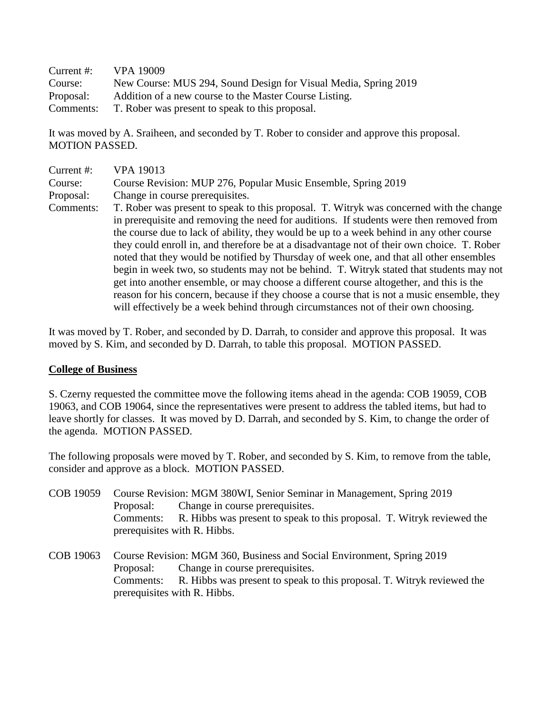| Current $#$ : | VPA 19009                                                       |
|---------------|-----------------------------------------------------------------|
| Course:       | New Course: MUS 294, Sound Design for Visual Media, Spring 2019 |
| Proposal:     | Addition of a new course to the Master Course Listing.          |
| Comments:     | T. Rober was present to speak to this proposal.                 |

It was moved by A. Sraiheen, and seconded by T. Rober to consider and approve this proposal. MOTION PASSED.

| Current #: | VPA 19013                                                                                                                                                                                                                                                                                                                                                                                                                                                                                                                                                                                                                                                                                                                                                                                                                                          |
|------------|----------------------------------------------------------------------------------------------------------------------------------------------------------------------------------------------------------------------------------------------------------------------------------------------------------------------------------------------------------------------------------------------------------------------------------------------------------------------------------------------------------------------------------------------------------------------------------------------------------------------------------------------------------------------------------------------------------------------------------------------------------------------------------------------------------------------------------------------------|
| Course:    | Course Revision: MUP 276, Popular Music Ensemble, Spring 2019                                                                                                                                                                                                                                                                                                                                                                                                                                                                                                                                                                                                                                                                                                                                                                                      |
| Proposal:  | Change in course prerequisites.                                                                                                                                                                                                                                                                                                                                                                                                                                                                                                                                                                                                                                                                                                                                                                                                                    |
| Comments:  | T. Rober was present to speak to this proposal. T. Witryk was concerned with the change<br>in prerequisite and removing the need for auditions. If students were then removed from<br>the course due to lack of ability, they would be up to a week behind in any other course<br>they could enroll in, and therefore be at a disadvantage not of their own choice. T. Rober<br>noted that they would be notified by Thursday of week one, and that all other ensembles<br>begin in week two, so students may not be behind. T. Witryk stated that students may not<br>get into another ensemble, or may choose a different course altogether, and this is the<br>reason for his concern, because if they choose a course that is not a music ensemble, they<br>will effectively be a week behind through circumstances not of their own choosing. |

It was moved by T. Rober, and seconded by D. Darrah, to consider and approve this proposal. It was moved by S. Kim, and seconded by D. Darrah, to table this proposal. MOTION PASSED.

### **College of Business**

S. Czerny requested the committee move the following items ahead in the agenda: COB 19059, COB 19063, and COB 19064, since the representatives were present to address the tabled items, but had to leave shortly for classes. It was moved by D. Darrah, and seconded by S. Kim, to change the order of the agenda. MOTION PASSED.

The following proposals were moved by T. Rober, and seconded by S. Kim, to remove from the table, consider and approve as a block. MOTION PASSED.

- COB 19059 Course Revision: MGM 380WI, Senior Seminar in Management, Spring 2019 Proposal: Change in course prerequisites. Comments: R. Hibbs was present to speak to this proposal. T. Witryk reviewed the prerequisites with R. Hibbs.
- COB 19063 Course Revision: MGM 360, Business and Social Environment, Spring 2019 Proposal: Change in course prerequisites. Comments: R. Hibbs was present to speak to this proposal. T. Witryk reviewed the prerequisites with R. Hibbs.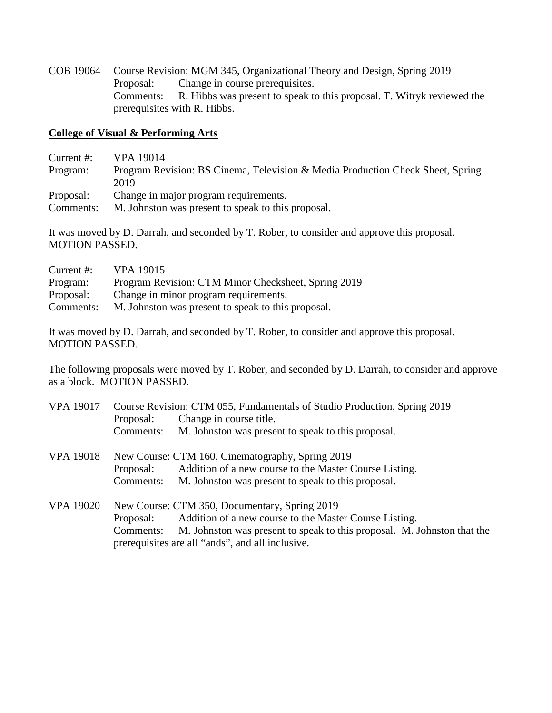COB 19064 Course Revision: MGM 345, Organizational Theory and Design, Spring 2019 Proposal: Change in course prerequisites. Comments: R. Hibbs was present to speak to this proposal. T. Witryk reviewed the prerequisites with R. Hibbs.

#### **College of Visual & Performing Arts**

- Current #: VPA 19014
- Program: Program Revision: BS Cinema, Television & Media Production Check Sheet, Spring 2019
- Proposal: Change in major program requirements.
- Comments: M. Johnston was present to speak to this proposal.

It was moved by D. Darrah, and seconded by T. Rober, to consider and approve this proposal. MOTION PASSED.

| Current $#$ : | <b>VPA 19015</b>                                    |
|---------------|-----------------------------------------------------|
| Program:      | Program Revision: CTM Minor Checksheet, Spring 2019 |
| Proposal:     | Change in minor program requirements.               |
| Comments:     | M. Johnston was present to speak to this proposal.  |

It was moved by D. Darrah, and seconded by T. Rober, to consider and approve this proposal. MOTION PASSED.

The following proposals were moved by T. Rober, and seconded by D. Darrah, to consider and approve as a block. MOTION PASSED.

| <b>VPA 19017</b> | Course Revision: CTM 055, Fundamentals of Studio Production, Spring 2019 |                                                                                   |  |
|------------------|--------------------------------------------------------------------------|-----------------------------------------------------------------------------------|--|
|                  | Proposal:                                                                | Change in course title.                                                           |  |
|                  | Comments:                                                                | M. Johnston was present to speak to this proposal.                                |  |
| <b>VPA 19018</b> | New Course: CTM 160, Cinematography, Spring 2019                         |                                                                                   |  |
|                  | Proposal:                                                                | Addition of a new course to the Master Course Listing.                            |  |
|                  | Comments:                                                                | M. Johnston was present to speak to this proposal.                                |  |
| <b>VPA 19020</b> | New Course: CTM 350, Documentary, Spring 2019                            |                                                                                   |  |
|                  | Proposal:                                                                | Addition of a new course to the Master Course Listing.                            |  |
|                  |                                                                          | Comments: M. Johnston was present to speak to this proposal. M. Johnston that the |  |
|                  |                                                                          | prerequisites are all "ands", and all inclusive.                                  |  |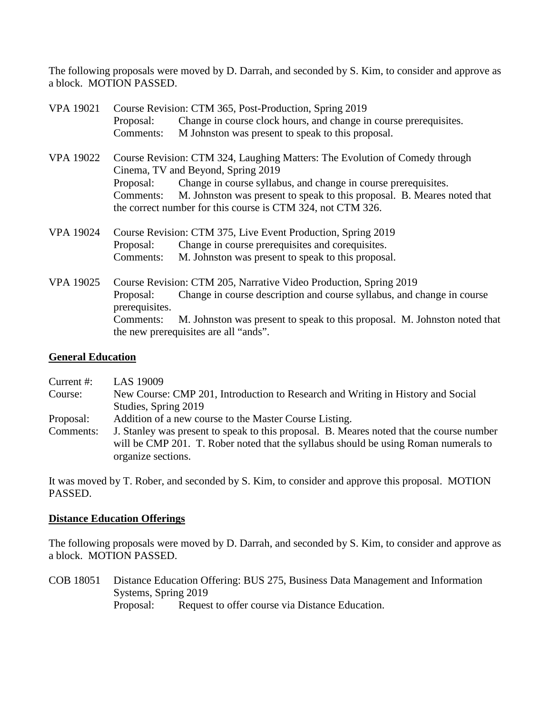The following proposals were moved by D. Darrah, and seconded by S. Kim, to consider and approve as a block. MOTION PASSED.

| <b>VPA 19021</b> | Course Revision: CTM 365, Post-Production, Spring 2019                                                            |                                                                                                                                        |  |
|------------------|-------------------------------------------------------------------------------------------------------------------|----------------------------------------------------------------------------------------------------------------------------------------|--|
|                  | Proposal:                                                                                                         | Change in course clock hours, and change in course prerequisites.                                                                      |  |
|                  | Comments:                                                                                                         | M Johnston was present to speak to this proposal.                                                                                      |  |
| <b>VPA 19022</b> | Course Revision: CTM 324, Laughing Matters: The Evolution of Comedy through<br>Cinema, TV and Beyond, Spring 2019 |                                                                                                                                        |  |
|                  | Proposal:                                                                                                         | Change in course syllabus, and change in course prerequisites.                                                                         |  |
|                  | Comments:                                                                                                         | M. Johnston was present to speak to this proposal. B. Meares noted that<br>the correct number for this course is CTM 324, not CTM 326. |  |
| <b>VPA 19024</b> |                                                                                                                   | Course Revision: CTM 375, Live Event Production, Spring 2019                                                                           |  |
|                  | Proposal:                                                                                                         | Change in course prerequisites and corequisites.                                                                                       |  |
|                  | Comments:                                                                                                         | M. Johnston was present to speak to this proposal.                                                                                     |  |
| <b>VPA 19025</b> | Course Revision: CTM 205, Narrative Video Production, Spring 2019                                                 |                                                                                                                                        |  |
|                  | Proposal:<br>prerequisites.                                                                                       | Change in course description and course syllabus, and change in course                                                                 |  |
|                  | Comments:                                                                                                         | M. Johnston was present to speak to this proposal. M. Johnston noted that<br>the new prerequisites are all "ands".                     |  |

#### **General Education**

| Current $#$ : | LAS 19009                                                                                                                                                                                             |
|---------------|-------------------------------------------------------------------------------------------------------------------------------------------------------------------------------------------------------|
| Course:       | New Course: CMP 201, Introduction to Research and Writing in History and Social                                                                                                                       |
|               | Studies, Spring 2019                                                                                                                                                                                  |
| Proposal:     | Addition of a new course to the Master Course Listing.                                                                                                                                                |
| Comments:     | J. Stanley was present to speak to this proposal. B. Meares noted that the course number<br>will be CMP 201. T. Rober noted that the syllabus should be using Roman numerals to<br>organize sections. |

It was moved by T. Rober, and seconded by S. Kim, to consider and approve this proposal. MOTION PASSED.

#### **Distance Education Offerings**

The following proposals were moved by D. Darrah, and seconded by S. Kim, to consider and approve as a block. MOTION PASSED.

COB 18051 Distance Education Offering: BUS 275, Business Data Management and Information Systems, Spring 2019 Proposal: Request to offer course via Distance Education.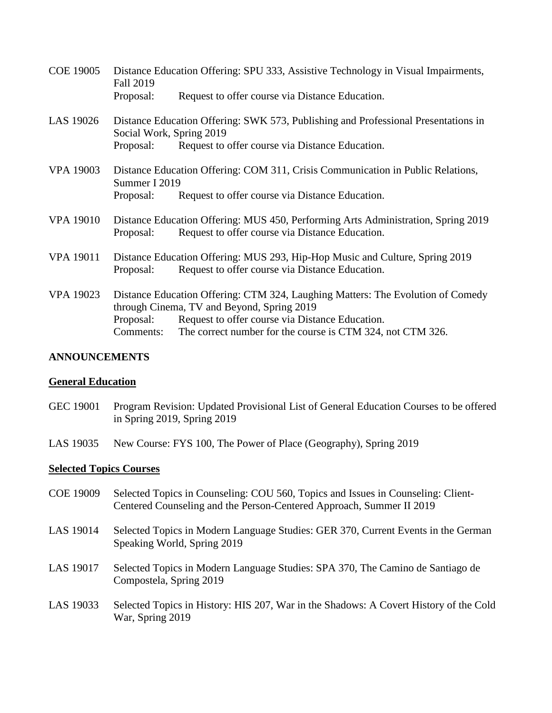| <b>COE 19005</b> | Distance Education Offering: SPU 333, Assistive Technology in Visual Impairments,<br>Fall 2019                                                                                                                                                                           |                                                                                                                                 |
|------------------|--------------------------------------------------------------------------------------------------------------------------------------------------------------------------------------------------------------------------------------------------------------------------|---------------------------------------------------------------------------------------------------------------------------------|
|                  | Proposal:                                                                                                                                                                                                                                                                | Request to offer course via Distance Education.                                                                                 |
| LAS 19026        | Distance Education Offering: SWK 573, Publishing and Professional Presentations in<br>Social Work, Spring 2019                                                                                                                                                           |                                                                                                                                 |
|                  | Proposal:                                                                                                                                                                                                                                                                | Request to offer course via Distance Education.                                                                                 |
| <b>VPA 19003</b> | Distance Education Offering: COM 311, Crisis Communication in Public Relations,<br>Summer I 2019                                                                                                                                                                         |                                                                                                                                 |
|                  | Proposal:                                                                                                                                                                                                                                                                | Request to offer course via Distance Education.                                                                                 |
| <b>VPA 19010</b> | Distance Education Offering: MUS 450, Performing Arts Administration, Spring 2019<br>Request to offer course via Distance Education.<br>Proposal:                                                                                                                        |                                                                                                                                 |
| <b>VPA 19011</b> | Proposal:                                                                                                                                                                                                                                                                | Distance Education Offering: MUS 293, Hip-Hop Music and Culture, Spring 2019<br>Request to offer course via Distance Education. |
| <b>VPA 19023</b> | Distance Education Offering: CTM 324, Laughing Matters: The Evolution of Comedy<br>through Cinema, TV and Beyond, Spring 2019<br>Request to offer course via Distance Education.<br>Proposal:<br>The correct number for the course is CTM 324, not CTM 326.<br>Comments: |                                                                                                                                 |
|                  |                                                                                                                                                                                                                                                                          |                                                                                                                                 |

### **ANNOUNCEMENTS**

#### **General Education**

- GEC 19001 Program Revision: Updated Provisional List of General Education Courses to be offered in Spring 2019, Spring 2019
- LAS 19035 New Course: FYS 100, The Power of Place (Geography), Spring 2019

#### **Selected Topics Courses**

- COE 19009 Selected Topics in Counseling: COU 560, Topics and Issues in Counseling: Client-Centered Counseling and the Person-Centered Approach, Summer II 2019
- LAS 19014 Selected Topics in Modern Language Studies: GER 370, Current Events in the German Speaking World, Spring 2019
- LAS 19017 Selected Topics in Modern Language Studies: SPA 370, The Camino de Santiago de Compostela, Spring 2019
- LAS 19033 Selected Topics in History: HIS 207, War in the Shadows: A Covert History of the Cold War, Spring 2019